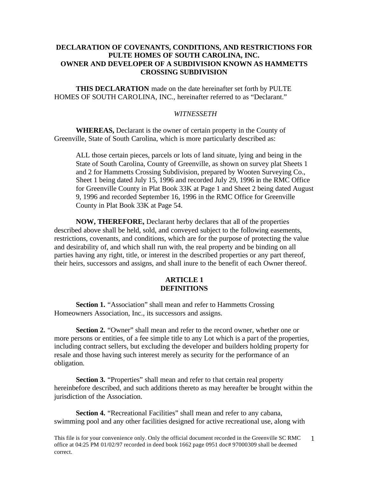# **DECLARATION OF COVENANTS, CONDITIONS, AND RESTRICTIONS FOR PULTE HOMES OF SOUTH CAROLINA, INC. OWNER AND DEVELOPER OF A SUBDIVISION KNOWN AS HAMMETTS CROSSING SUBDIVISION**

**THIS DECLARATION** made on the date hereinafter set forth by PULTE HOMES OF SOUTH CAROLINA, INC., hereinafter referred to as "Declarant."

## *WITNESSETH*

**WHEREAS,** Declarant is the owner of certain property in the County of Greenville, State of South Carolina, which is more particularly described as:

ALL those certain pieces, parcels or lots of land situate, lying and being in the State of South Carolina, County of Greenville, as shown on survey plat Sheets 1 and 2 for Hammetts Crossing Subdivision, prepared by Wooten Surveying Co., Sheet 1 being dated July 15, 1996 and recorded July 29, 1996 in the RMC Office for Greenville County in Plat Book 33K at Page 1 and Sheet 2 being dated August 9, 1996 and recorded September 16, 1996 in the RMC Office for Greenville County in Plat Book 33K at Page 54.

**NOW, THEREFORE,** Declarant herby declares that all of the properties described above shall be held, sold, and conveyed subject to the following easements, restrictions, covenants, and conditions, which are for the purpose of protecting the value and desirability of, and which shall run with, the real property and be binding on all parties having any right, title, or interest in the described properties or any part thereof, their heirs, successors and assigns, and shall inure to the benefit of each Owner thereof.

# **ARTICLE 1 DEFINITIONS**

**Section 1.** "Association" shall mean and refer to Hammetts Crossing Homeowners Association, Inc., its successors and assigns.

**Section 2.** "Owner" shall mean and refer to the record owner, whether one or more persons or entities, of a fee simple title to any Lot which is a part of the properties, including contract sellers, but excluding the developer and builders holding property for resale and those having such interest merely as security for the performance of an obligation.

**Section 3.** "Properties" shall mean and refer to that certain real property hereinbefore described, and such additions thereto as may hereafter be brought within the jurisdiction of the Association.

**Section 4.** "Recreational Facilities" shall mean and refer to any cabana, swimming pool and any other facilities designed for active recreational use, along with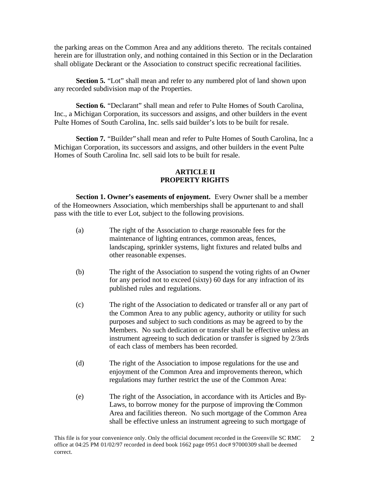the parking areas on the Common Area and any additions thereto. The recitals contained herein are for illustration only, and nothing contained in this Section or in the Declaration shall obligate Declarant or the Association to construct specific recreational facilities.

**Section 5.** "Lot" shall mean and refer to any numbered plot of land shown upon any recorded subdivision map of the Properties.

Section 6. "Declarant" shall mean and refer to Pulte Homes of South Carolina, Inc., a Michigan Corporation, its successors and assigns, and other builders in the event Pulte Homes of South Carolina, Inc. sells said builder's lots to be built for resale.

**Section 7.** "Builder" shall mean and refer to Pulte Homes of South Carolina, Inc a Michigan Corporation, its successors and assigns, and other builders in the event Pulte Homes of South Carolina Inc. sell said lots to be built for resale.

# **ARTICLE II PROPERTY RIGHTS**

**Section 1. Owner's easements of enjoyment.** Every Owner shall be a member of the Homeowners Association, which memberships shall be appurtenant to and shall pass with the title to ever Lot, subject to the following provisions.

- (a) The right of the Association to charge reasonable fees for the maintenance of lighting entrances, common areas, fences, landscaping, sprinkler systems, light fixtures and related bulbs and other reasonable expenses.
- (b) The right of the Association to suspend the voting rights of an Owner for any period not to exceed (sixty) 60 days for any infraction of its published rules and regulations.
- (c) The right of the Association to dedicated or transfer all or any part of the Common Area to any public agency, authority or utility for such purposes and subject to such conditions as may be agreed to by the Members. No such dedication or transfer shall be effective unless an instrument agreeing to such dedication or transfer is signed by 2/3rds of each class of members has been recorded.
- (d) The right of the Association to impose regulations for the use and enjoyment of the Common Area and improvements thereon, which regulations may further restrict the use of the Common Area:
- (e) The right of the Association, in accordance with its Articles and By-Laws, to borrow money for the purpose of improving the Common Area and facilities thereon. No such mortgage of the Common Area shall be effective unless an instrument agreeing to such mortgage of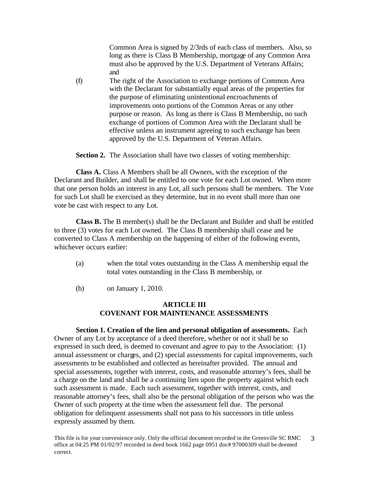Common Area is signed by 2/3rds of each class of members. Also, so long as there is Class B Membership, mortgage of any Common Area must also be approved by the U.S. Department of Veterans Affairs; and

(f) The right of the Association to exchange portions of Common Area with the Declarant for substantially equal areas of the properties for the purpose of eliminating unintentional encroachments of improvements onto portions of the Common Areas or any other purpose or reason. As long as there is Class B Membership, no such exchange of portions of Common Area with the Declarant shall be effective unless an instrument agreeing to such exchange has been approved by the U.S. Department of Veteran Affairs.

**Section 2.** The Association shall have two classes of voting membership:

**Class A.** Class A Members shall be all Owners, with the exception of the Declarant and Builder, and shall be entitled to one vote for each Lot owned. When more that one person holds an interest in any Lot, all such persons shall be members. The Vote for such Lot shall be exercised as they determine, but in no event shall more than one vote be cast with respect to any Lot.

**Class B.** The B member(s) shall be the Declarant and Builder and shall be entitled to three (3) votes for each Lot owned. The Class B membership shall cease and be converted to Class A membership on the happening of either of the following events, whichever occurs earlier:

- (a) when the total votes outstanding in the Class A membership equal the total votes outstanding in the Class B membership, or
- (b) on January 1, 2010.

# **ARTICLE III COVENANT FOR MAINTENANCE ASSESSMENTS**

**Section 1. Creation of the lien and personal obligation of assessments.** Each Owner of any Lot by acceptance of a deed therefore, whether or not it shall be so expressed in such deed, is deemed to covenant and agree to pay to the Association: (1) annual assessment or charges, and (2) special assessments for capital improvements, such assessments to be established and collected as hereinafter provided. The annual and special assessments, together with interest, costs, and reasonable attorney's fees, shall be a charge on the land and shall be a continuing lien upon the property against which each such assessment is made. Each such assessment, together with interest, costs, and reasonable attorney's fees, shall also be the personal obligation of the person who was the Owner of such property at the time when the assessment fell due. The personal obligation for delinquent assessments shall not pass to his successors in title unless expressly assumed by them.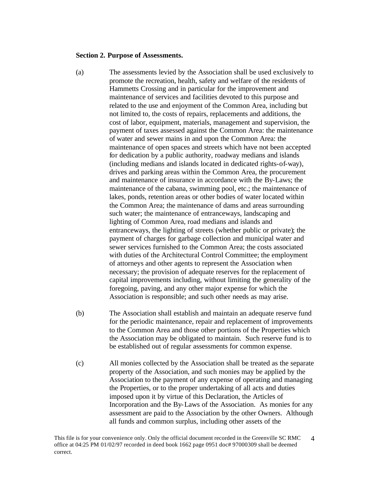#### **Section 2. Purpose of Assessments.**

- (a) The assessments levied by the Association shall be used exclusively to promote the recreation, health, safety and welfare of the residents of Hammetts Crossing and in particular for the improvement and maintenance of services and facilities devoted to this purpose and related to the use and enjoyment of the Common Area, including but not limited to, the costs of repairs, replacements and additions, the cost of labor, equipment, materials, management and supervision, the payment of taxes assessed against the Common Area: the maintenance of water and sewer mains in and upon the Common Area: the maintenance of open spaces and streets which have not been accepted for dedication by a public authority, roadway medians and islands (including medians and islands located in dedicated rights-of-way), drives and parking areas within the Common Area, the procurement and maintenance of insurance in accordance with the By-Laws; the maintenance of the cabana, swimming pool, etc.; the maintenance of lakes, ponds, retention areas or other bodies of water located within the Common Area; the maintenance of dams and areas surrounding such water; the maintenance of entranceways, landscaping and lighting of Common Area, road medians and islands and entranceways, the lighting of streets (whether public or private); the payment of charges for garbage collection and municipal water and sewer services furnished to the Common Area; the costs associated with duties of the Architectural Control Committee; the employment of attorneys and other agents to represent the Association when necessary; the provision of adequate reserves for the replacement of capital improvements including, without limiting the generality of the foregoing, paving, and any other major expense for which the Association is responsible; and such other needs as may arise.
- (b) The Association shall establish and maintain an adequate reserve fund for the periodic maintenance, repair and replacement of improvements to the Common Area and those other portions of the Properties which the Association may be obligated to maintain. Such reserve fund is to be established out of regular assessments for common expense.
- (c) All monies collected by the Association shall be treated as the separate property of the Association, and such monies may be applied by the Association to the payment of any expense of operating and managing the Properties, or to the proper undertaking of all acts and duties imposed upon it by virtue of this Declaration, the Articles of Incorporation and the By-Laws of the Association. As monies for any assessment are paid to the Association by the other Owners. Although all funds and common surplus, including other assets of the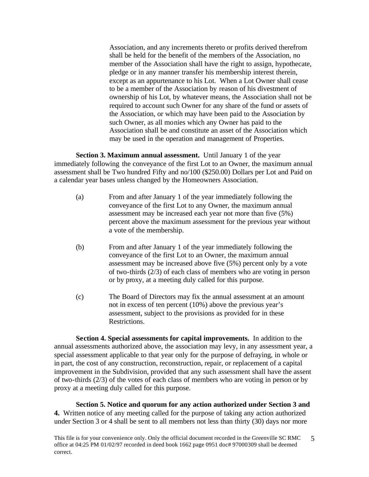Association, and any increments thereto or profits derived therefrom shall be held for the benefit of the members of the Association, no member of the Association shall have the right to assign, hypothecate, pledge or in any manner transfer his membership interest therein, except as an appurtenance to his Lot. When a Lot Owner shall cease to be a member of the Association by reason of his divestment of ownership of his Lot, by whatever means, the Association shall not be required to account such Owner for any share of the fund or assets of the Association, or which may have been paid to the Association by such Owner, as all monies which any Owner has paid to the Association shall be and constitute an asset of the Association which may be used in the operation and management of Properties.

**Section 3. Maximum annual assessment.** Until January 1 of the year immediately following the conveyance of the first Lot to an Owner, the maximum annual assessment shall be Two hundred Fifty and no/100 (\$250.00) Dollars per Lot and Paid on a calendar year bases unless changed by the Homeowners Association.

- (a) From and after January 1 of the year immediately following the conveyance of the first Lot to any Owner, the maximum annual assessment may be increased each year not more than five (5%) percent above the maximum assessment for the previous year without a vote of the membership.
- (b) From and after January 1 of the year immediately following the conveyance of the first Lot to an Owner, the maximum annual assessment may be increased above five (5%) percent only by a vote of two-thirds (2/3) of each class of members who are voting in person or by proxy, at a meeting duly called for this purpose.
- (c) The Board of Directors may fix the annual assessment at an amount not in excess of ten percent (10%) above the previous year's assessment, subject to the provisions as provided for in these Restrictions.

**Section 4. Special assessments for capital improvements.** In addition to the annual assessments authorized above, the association may levy, in any assessment year, a special assessment applicable to that year only for the purpose of defraying, in whole or in part, the cost of any construction, reconstruction, repair, or replacement of a capital improvement in the Subdivision, provided that any such assessment shall have the assent of two-thirds (2/3) of the votes of each class of members who are voting in person or by proxy at a meeting duly called for this purpose.

**Section 5. Notice and quorum for any action authorized under Section 3 and 4.** Written notice of any meeting called for the purpose of taking any action authorized under Section 3 or 4 shall be sent to all members not less than thirty (30) days nor more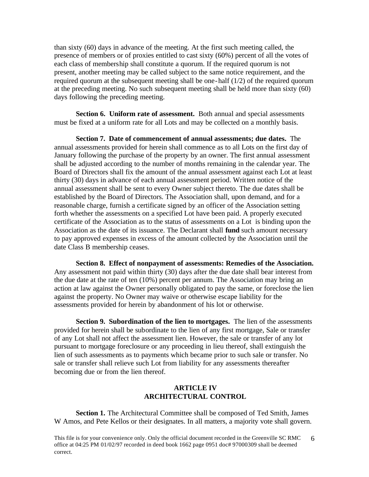than sixty (60) days in advance of the meeting. At the first such meeting called, the presence of members or of proxies entitled to cast sixty (60%) percent of all the votes of each class of membership shall constitute a quorum. If the required quorum is not present, another meeting may be called subject to the same notice requirement, and the required quorum at the subsequent meeting shall be one-half (1/2) of the required quorum at the preceding meeting. No such subsequent meeting shall be held more than sixty (60) days following the preceding meeting.

**Section 6. Uniform rate of assessment.** Both annual and special assessments must be fixed at a uniform rate for all Lots and may be collected on a monthly basis.

**Section 7. Date of commencement of annual assessments; due dates.** The annual assessments provided for herein shall commence as to all Lots on the first day of January following the purchase of the property by an owner. The first annual assessment shall be adjusted according to the number of months remaining in the calendar year. The Board of Directors shall fix the amount of the annual assessment against each Lot at least thirty (30) days in advance of each annual assessment period. Written notice of the annual assessment shall be sent to every Owner subject thereto. The due dates shall be established by the Board of Directors. The Association shall, upon demand, and for a reasonable charge, furnish a certificate signed by an officer of the Association setting forth whether the assessments on a specified Lot have been paid. A properly executed certificate of the Association as to the status of assessments on a Lot is binding upon the Association as the date of its issuance. The Declarant shall **fund** such amount necessary to pay approved expenses in excess of the amount collected by the Association until the date Class B membership ceases.

**Section 8. Effect of nonpayment of assessments: Remedies of the Association.** Any assessment not paid within thirty (30) days after the due date shall bear interest from the due date at the rate of ten (10%) percent per annum. The Association may bring an action at law against the Owner personally obligated to pay the same, or foreclose the lien against the property. No Owner may waive or otherwise escape liability for the assessments provided for herein by abandonment of his lot or otherwise.

**Section 9. Subordination of the lien to mortgages.** The lien of the assessments provided for herein shall be subordinate to the lien of any first mortgage, Sale or transfer of any Lot shall not affect the assessment lien. However, the sale or transfer of any lot pursuant to mortgage foreclosure or any proceeding in lieu thereof, shall extinguish the lien of such assessments as to payments which became prior to such sale or transfer. No sale or transfer shall relieve such Lot from liability for any assessments thereafter becoming due or from the lien thereof.

# **ARTICLE IV ARCHITECTURAL CONTROL**

**Section 1.** The Architectural Committee shall be composed of Ted Smith, James W Amos, and Pete Kellos or their designates. In all matters, a majority vote shall govern.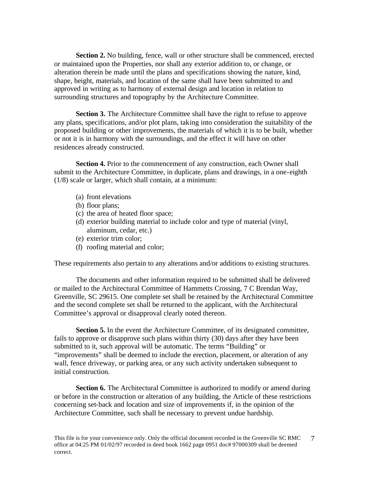**Section 2.** No building, fence, wall or other structure shall be commenced, erected or maintained upon the Properties, nor shall any exterior addition to, or change, or alteration therein be made until the plans and specifications showing the nature, kind, shape, height, materials, and location of the same shall have been submitted to and approved in writing as to harmony of external design and location in relation to surrounding structures and topography by the Architecture Committee.

**Section 3.** The Architecture Committee shall have the right to refuse to approve any plans, specifications, and/or plot plans, taking into consideration the suitability of the proposed building or other improvements, the materials of which it is to be built, whether or not it is in harmony with the surroundings, and the effect it will have on other residences already constructed.

**Section 4.** Prior to the commencement of any construction, each Owner shall submit to the Architecture Committee, in duplicate, plans and drawings, in a one-eighth (1/8) scale or larger, which shall contain, at a minimum:

- (a) front elevations
- (b) floor plans;
- (c) the area of heated floor space;
- (d) exterior building material to include color and type of material (vinyl, aluminum, cedar, etc.)
- (e) exterior trim color;
- (f) roofing material and color;

These requirements also pertain to any alterations and/or additions to existing structures.

The documents and other information required to be submitted shall be delivered or mailed to the Architectural Committee of Hammetts Crossing, 7 C Brendan Way, Greenville, SC 29615. One complete set shall be retained by the Architectural Committee and the second complete set shall be returned to the applicant, with the Architectural Committee's approval or disapproval clearly noted thereon.

**Section 5.** In the event the Architecture Committee, of its designated committee, fails to approve or disapprove such plans within thirty (30) days after they have been submitted to it, such approval will be automatic. The terms "Building" or "improvements" shall be deemed to include the erection, placement, or alteration of any wall, fence driveway, or parking area, or any such activity undertaken subsequent to initial construction.

**Section 6.** The Architectural Committee is authorized to modify or amend during or before in the construction or alteration of any building, the Article of these restrictions concerning set-back and location and size of improvements if, in the opinion of the Architecture Committee, such shall be necessary to prevent undue hardship.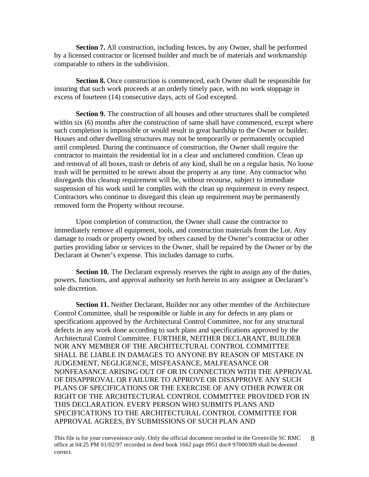**Section 7.** All construction, including fences, by any Owner, shall be performed by a licensed contractor or licensed builder and much be of materials and workmanship comparable to others in the subdivision.

**Section 8.** Once construction is commenced, each Owner shall be responsible for insuring that such work proceeds at an orderly timely pace, with no work stoppage in excess of fourteen (14) consecutive days, acts of God excepted.

**Section 9.** The construction of all houses and other structures shall be completed within six (6) months after the construction of same shall have commenced, except where such completion is impossible or would result in great hardship to the Owner or builder. Houses and other dwelling structures may not be temporarily or permanently occupied until completed. During the continuance of construction, the Owner shall require the contractor to maintain the residential lot in a clear and uncluttered condition. Clean up and removal of all boxes, trash or debris of any kind, shall be on a regular basis. No loose trash will be permitted to be strewn about the property at any time. Any contractor who disregards this cleanup requirement will be, without recourse, subject to immediate suspension of his work until he complies with the clean up requirement in every respect. Contractors who continue to disregard this clean up requirement may be permanently removed form the Property without recourse.

Upon completion of construction, the Owner shall cause the contractor to immediately remove all equipment, tools, and construction materials from the Lot. Any damage to roads or property owned by others caused by the Owner's contractor or other parties providing labor or services to the Owner, shall be repaired by the Owner or by the Declarant at Owner's expense. This includes damage to curbs.

**Section 10.** The Declarant expressly reserves the right to assign any of the duties, powers, functions, and approval authority set forth herein to any assignee at Declarant's sole discretion.

**Section 11.** Neither Declarant, Builder nor any other member of the Architecture Control Committee, shall be responsible or liable in any for defects in any plans or specifications approved by the Architectural Control Committee, nor for any structural defects in any work done according to such plans and specifications approved by the Architectural Control Committee. FURTHER, NEITHER DECLARANT, BUILDER NOR ANY MEMBER OF THE ARCHITECTURAL CONTROL COMMITTEE SHALL BE LIABLE IN DAMAGES TO ANYONE BY REASON OF MISTAKE IN JUDGEMENT, NEGLIGENCE, MISFEASANCE, MALFEASANCE OR NONFEASANCE ARISING OUT OF OR IN CONNECTION WITH THE APPROVAL OF DISAPPROVAL OR FAILURE TO APPROVE OR DISAPPROVE ANY SUCH PLANS OF SPECIFICATIONS OR THE EXERCISE OF ANY OTHER POWER OR RIGHT OF THE ARCHITECTURAL CONTROL COMMITTEE PROVIDED FOR IN THIS DECLARATION. EVERY PERSON WHO SUBMITS PLANS AND SPECIFICATIONS TO THE ARCHITECTURAL CONTROL COMMITTEE FOR APPROVAL AGREES, BY SUBMISSIONS OF SUCH PLAN AND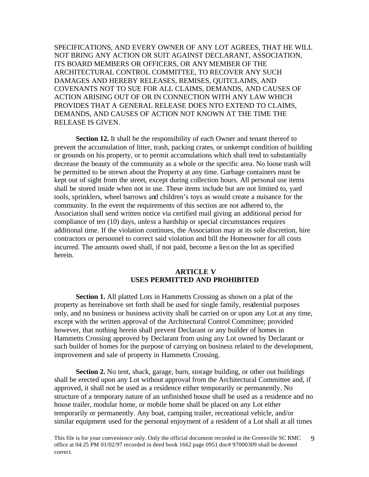SPECIFICATIONS, AND EVERY OWNER OF ANY LOT AGREES, THAT HE WILL NOT BRING ANY ACTION OR SUIT AGAINST DECLARANT, ASSOCIATION, ITS BOARD MEMBERS OR OFFICERS, OR ANY MEMBER OF THE ARCHITECTURAL CONTROL COMMITTEE, TO RECOVER ANY SUCH DAMAGES AND HEREBY RELEASES, REMISES, QUITCLAIMS, AND COVENANTS NOT TO SUE FOR ALL CLAIMS, DEMANDS, AND CAUSES OF ACTION ARISING OUT OF OR IN CONNECTION WITH ANY LAW WHICH PROVIDES THAT A GENERAL RELEASE DOES NTO EXTEND TO CLAIMS, DEMANDS, AND CAUSES OF ACTION NOT KNOWN AT THE TIME THE RELEASE IS GIVEN.

**Section 12.** It shall be the responsibility of each Owner and tenant thereof to prevent the accumulation of litter, trash, packing crates, or unkempt condition of building or grounds on his property, or to permit accumulations which shall tend to substantially decrease the beauty of the community as a whole or the specific area. No loose trash will be permitted to be strewn about the Property at any time. Garbage containers must be kept out of sight from the street, except during collection hours. All personal use items shall be stored inside when not in use. These items include but are not limited to, yard tools, sprinklers, wheel barrows and children's toys as would create a nuisance for the community. In the event the requirements of this section are not adhered to, the Association shall send written notice via certified mail giving an additional period for compliance of ten (10) days, unless a hardship or special circumstances requires additional time. If the violation continues, the Association may at its sole discretion, hire contractors or personnel to correct said violation and bill the Homeowner for all costs incurred. The amounts owed shall, if not paid, become a lien on the lot as specified herein.

# **ARTICLE V USES PERMITTED AND PROHIBITED**

**Section 1.** All platted Lots in Hammetts Crossing as shown on a plat of the property as hereinabove set forth shall be used for single family, residential purposes only, and no business or business activity shall be carried on or upon any Lot at any time, except with the written approval of the Architectural Control Committee; provided however, that nothing herein shall prevent Declarant or any builder of homes in Hammetts Crossing approved by Declarant from using any Lot owned by Declarant or such builder of homes for the purpose of carrying on business related to the development, improvement and sale of property in Hammetts Crossing.

**Section 2.** No tent, shack, garage, barn, storage building, or other out buildings shall be erected upon any Lot without approval from the Architectural Committee and, if approved, it shall not be used as a residence either temporarily or permanently. No structure of a temporary nature of an unfinished house shall be used as a residence and no house trailer, modular home, or mobile home shall be placed on any Lot either temporarily or permanently. Any boat, camping trailer, recreational vehicle, and/or similar equipment used for the personal enjoyment of a resident of a Lot shall at all times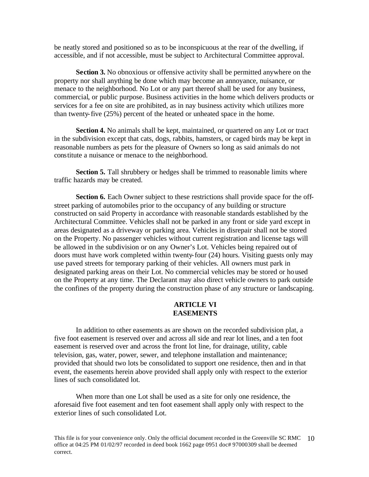be neatly stored and positioned so as to be inconspicuous at the rear of the dwelling, if accessible, and if not accessible, must be subject to Architectural Committee approval.

**Section 3.** No obnoxious or offensive activity shall be permitted anywhere on the property nor shall anything be done which may become an annoyance, nuisance, or menace to the neighborhood. No Lot or any part thereof shall be used for any business, commercial, or public purpose. Business activities in the home which delivers products or services for a fee on site are prohibited, as in nay business activity which utilizes more than twenty-five (25%) percent of the heated or unheated space in the home.

**Section 4.** No animals shall be kept, maintained, or quartered on any Lot or tract in the subdivision except that cats, dogs, rabbits, hamsters, or caged birds may be kept in reasonable numbers as pets for the pleasure of Owners so long as said animals do not constitute a nuisance or menace to the neighborhood.

**Section 5.** Tall shrubbery or hedges shall be trimmed to reasonable limits where traffic hazards may be created.

**Section 6.** Each Owner subject to these restrictions shall provide space for the offstreet parking of automobiles prior to the occupancy of any building or structure constructed on said Property in accordance with reasonable standards established by the Architectural Committee. Vehicles shall not be parked in any front or side yard except in areas designated as a driveway or parking area. Vehicles in disrepair shall not be stored on the Property. No passenger vehicles without current registration and license tags will be allowed in the subdivision or on any Owner's Lot. Vehicles being repaired out of doors must have work completed within twenty-four (24) hours. Visiting guests only may use paved streets for temporary parking of their vehicles. All owners must park in designated parking areas on their Lot. No commercial vehicles may be stored or housed on the Property at any time. The Declarant may also direct vehicle owners to park outside the confines of the property during the construction phase of any structure or landscaping.

# **ARTICLE VI EASEMENTS**

In addition to other easements as are shown on the recorded subdivision plat, a five foot easement is reserved over and across all side and rear lot lines, and a ten foot easement is reserved over and across the front lot line, for drainage, utility, cable television, gas, water, power, sewer, and telephone installation and maintenance; provided that should two lots be consolidated to support one residence, then and in that event, the easements herein above provided shall apply only with respect to the exterior lines of such consolidated lot.

When more than one Lot shall be used as a site for only one residence, the aforesaid five foot easement and ten foot easement shall apply only with respect to the exterior lines of such consolidated Lot.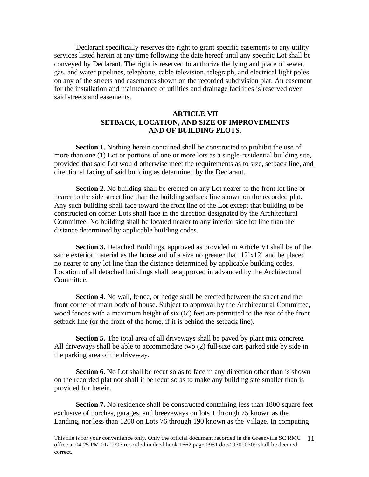Declarant specifically reserves the right to grant specific easements to any utility services listed herein at any time following the date hereof until any specific Lot shall be conveyed by Declarant. The right is reserved to authorize the lying and place of sewer, gas, and water pipelines, telephone, cable television, telegraph, and electrical light poles on any of the streets and easements shown on the recorded subdivision plat. An easement for the installation and maintenance of utilities and drainage facilities is reserved over said streets and easements.

# **ARTICLE VII SETBACK, LOCATION, AND SIZE OF IMPROVEMENTS AND OF BUILDING PLOTS.**

**Section 1.** Nothing herein contained shall be constructed to prohibit the use of more than one (1) Lot or portions of one or more lots as a single-residential building site, provided that said Lot would otherwise meet the requirements as to size, setback line, and directional facing of said building as determined by the Declarant.

**Section 2.** No building shall be erected on any Lot nearer to the front lot line or nearer to the side street line than the building setback line shown on the recorded plat. Any such building shall face toward the front line of the Lot except that building to be constructed on corner Lots shall face in the direction designated by the Architectural Committee. No building shall be located nearer to any interior side lot line than the distance determined by applicable building codes.

**Section 3.** Detached Buildings, approved as provided in Article VI shall be of the same exterior material as the house and of a size no greater than  $12'x12'$  and be placed no nearer to any lot line than the distance determined by applicable building codes. Location of all detached buildings shall be approved in advanced by the Architectural Committee.

**Section 4.** No wall, fence, or hedge shall be erected between the street and the front corner of main body of house. Subject to approval by the Architectural Committee, wood fences with a maximum height of six (6') feet are permitted to the rear of the front setback line (or the front of the home, if it is behind the setback line).

**Section 5.** The total area of all driveways shall be paved by plant mix concrete. All driveways shall be able to accommodate two (2) full-size cars parked side by side in the parking area of the driveway.

**Section 6.** No Lot shall be recut so as to face in any direction other than is shown on the recorded plat nor shall it be recut so as to make any building site smaller than is provided for herein.

**Section 7.** No residence shall be constructed containing less than 1800 square feet exclusive of porches, garages, and breezeways on lots 1 through 75 known as the Landing, nor less than 1200 on Lots 76 through 190 known as the Village. In computing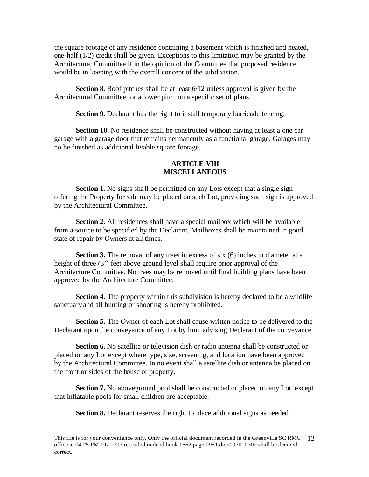the square footage of any residence containing a basement which is finished and heated, one-half (1/2) credit shall be given. Exceptions to this limitation may be granted by the Architectural Committee if in the opinion of the Committee that proposed residence would be in keeping with the overall concept of the subdivision.

**Section 8.** Roof pitches shall be at least  $6/12$  unless approval is given by the Architectural Committee for a lower pitch on a specific set of plans.

**Section 9.** Declarant has the right to install temporary barricade fencing.

**Section 10.** No residence shall be constructed without having at least a one car garage with a garage door that remains permanently as a functional garage. Garages may no be finished as additional livable square footage.

# **ARTICLE VIII MISCELLANEOUS**

**Section 1.** No signs shall be permitted on any Lots except that a single sign offering the Property for sale may be placed on such Lot, providing such sign is approved by the Architectural Committee.

**Section 2.** All residences shall have a special mailbox which will be available from a source to be specified by the Declarant. Mailboxes shall be maintained in good state of repair by Owners at all times.

**Section 3.** The removal of any trees in excess of six (6) inches in diameter at a height of three (3') feet above ground level shall require prior approval of the Architecture Committee. No trees may be removed until final building plans have been approved by the Architecture Committee.

**Section 4.** The property within this subdivision is hereby declared to be a wildlife sanctuary and all hunting or shooting is hereby prohibited.

**Section 5.** The Owner of each Lot shall cause written notice to be delivered to the Declarant upon the conveyance of any Lot by him, advising Declarant of the conveyance.

**Section 6.** No satellite or television dish or radio antenna shall be constructed or placed on any Lot except where type, size, screening, and location have been approved by the Architectural Committee. In no event shall a satellite dish or antenna be placed on the front or sides of the house or property.

**Section 7.** No aboveground pool shall be constructed or placed on any Lot, except that inflatable pools for small children are acceptable.

**Section 8.** Declarant reserves the right to place additional signs as needed.